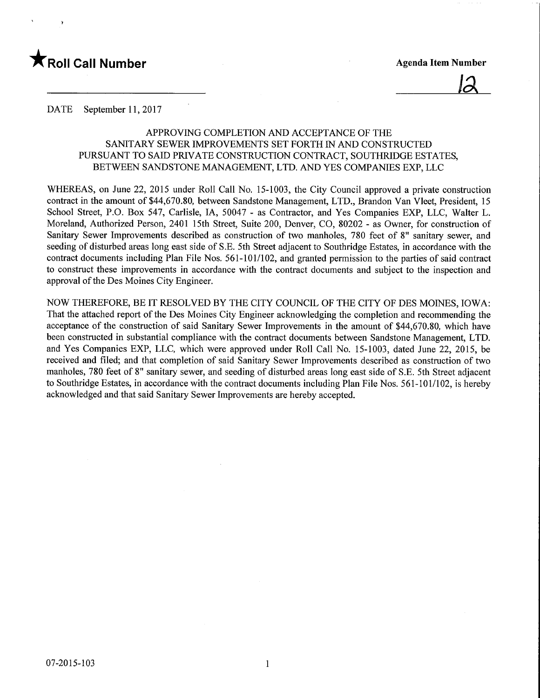

<u>12</u>

DATE September 11, 2017

## APPROVING COMPLETION AND ACCEPTANCE OF THE SANITARY SEWER IMPROVEMENTS SET FORTH IN AND CONSTRUCTED PURSUANT TO SAID PRIVATE CONSTRUCTION CONTRACT, SOUTHRIDGE ESTATES, BETWEEN SANDSTONE MANAGEMENT, LTD. AND YES COMPANIES EXP, LLC

WHEREAS, on June 22, 2015 under Roll Call No. 15-1003, the City Council approved a private construction contract in the amount of \$44,670.80, between Sandstone Management, LTD., Brandon Van Vleet, President, 15 School Street, P.O. Box 547, Carlisle, IA, 50047 - as Contractor, and Yes Companies EXP, LLC, Walter L. Moreland, Authorized Person, 2401 15th Street, Suite 200, Denver, CO, 80202 - as Owner, for construction of Sanitary Sewer Improvements described as construction of two manholes, 780 feet of 8" sanitary sewer, and seeding of disturbed areas long east side of S.E. 5th Street adjacent to Southridge Estates, in accordance with the contract documents including Plan File Nos. 561-101/102, and granted permission to the parties of said contract to construct these improvements in accordance with the contract documents and subject to the inspection and approval of the Des Moines City Engineer.

NOW THEREFORE, BE IT RESOLVED BY THE CITY COUNCIL OF THE CITY OF DES MOINES, IOWA: That the attached report of the Des Moines City Engineer acknowledging the completion and recommending the acceptance of the construction of said Sanitary Sewer Improvements in the amount of \$44,670.80, which have been constructed in substantial compliance with the contract documents between Sandstone Management, LTD. and Yes Companies EXP, LLC, which were approved under Roll Call No. 15-1003, dated June 22, 2015, be received and filed; and that completion of said Sanitary Sewer Improvements described as construction of two manholes, 780 feet of 8" sanitary sewer, and seeding of disturbed areas long east side of S.E. 5th Street adjacent to Southridge Estates, in accordance with the contract documents including Plan File Nos. 561-101/102, is hereby acknowledged and that said Sanitary Sewer Improvements are hereby accepted.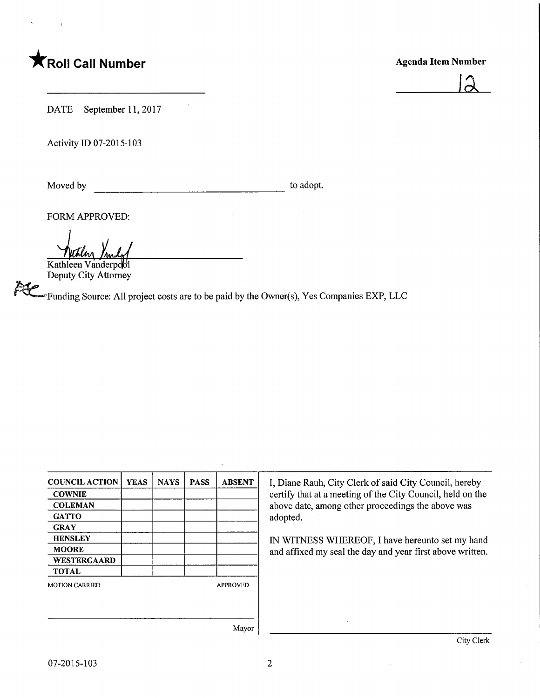## **TRoll Call Number**

## Agenda Item Number



DATE September 11, 2017

Activity ID 07-2015-103

Moved by to adopt.

FORM APPROVED:

Kathleen Vanderpool

Deputy City Attorney

 $\epsilon$  Funding Source: All project costs are to be paid by the Owner(s), Yes Companies EXP, LLC

| <b>COUNCIL ACTION</b> | <b>YEAS</b> | <b>NAYS</b> | <b>PASS</b> | <b>ABSENT</b>   |
|-----------------------|-------------|-------------|-------------|-----------------|
| <b>COWNIE</b>         |             |             |             |                 |
| <b>COLEMAN</b>        |             |             |             |                 |
| <b>GATTO</b>          |             |             |             |                 |
| <b>GRAY</b>           |             |             |             |                 |
| <b>HENSLEY</b>        |             |             |             |                 |
| <b>MOORE</b>          |             |             |             |                 |
| WESTERGAARD           |             |             |             |                 |
| <b>TOTAL</b>          |             |             |             |                 |
| <b>MOTION CARRIED</b> |             |             |             | <b>APPROVED</b> |
|                       |             |             |             |                 |
|                       |             |             |             |                 |
|                       |             |             |             | Mayor           |

I, Diane Rauh, City Clerk of said City Council, hereby certify that at a meeting of the City Council, held on the above date, among other proceedings the above was adopted.

IN WITNESS WHEREOF, I have hereunto set my hand and affixed my seal the day and year first above written.

Mayor